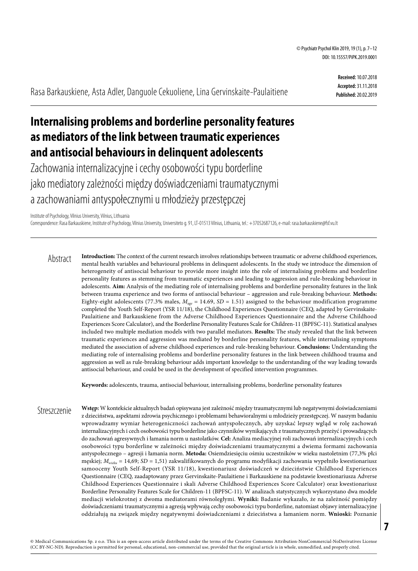Rasa Barkauskiene, Asta Adler, Danguole Cekuoliene, Lina Gervinskaite-Paulaitiene

**Received:** 10.07.2018 **Accepted:** 31.11.2018 **Published:** 20.02.2019

# **Internalising problems and borderline personality features as mediators of the link between traumatic experiences and antisocial behaviours in delinquent adolescents**

Zachowania internalizacyjne i cechy osobowości typu borderline jako mediatory zależności między doświadczeniami traumatycznymi a zachowaniami antyspołecznymi u młodzieży przestępczej

Institute of Psychology, Vilnius University, Vilnius, Lithuania

Correspondence: Rasa Barkauskiene, Institute of Psychology, Vilnius University, Universiteto g. 91, LT-01513 Vilnius, Lithuania, tel.: +37052687126, e-mail: [rasa.barkauskiene@fsf.vu.lt](mailto:rasa.barkauskiene@fsf.vu.lt)

**Introduction:** The context of the current research involves relationships between traumatic or adverse childhood experiences, mental health variables and behavioural problems in delinquent adolescents. In the study we introduce the dimension of heterogeneity of antisocial behaviour to provide more insight into the role of internalising problems and borderline personality features as stemming from traumatic experiences and leading to aggression and rule-breaking behaviour in adolescents. **Aim:** Analysis of the mediating role of internalising problems and borderline personality features in the link between trauma experience and two forms of antisocial behaviour – aggression and rule-breaking behaviour. **Methods:** Eighty-eight adolescents (77.3% males, *Mage* = 14.69, *SD* = 1.51) assigned to the behaviour modification programme completed the Youth Self-Report (YSR 11/18), the Childhood Experiences Questionnaire (CEQ, adapted by Gervinskaite-Paulaitiene and Barkauskiene from the Adverse Childhood Experiences Questionnaire and the Adverse Childhood Experiences Score Calculator), and the Borderline Personality Features Scale for Children-11 (BPFSC-11). Statistical analyses included two multiple mediation models with two parallel mediators. **Results:** The study revealed that the link between traumatic experiences and aggression was mediated by borderline personality features, while internalising symptoms mediated the association of adverse childhood experiences and rule-breaking behaviour. **Conclusions:** Understanding the mediating role of internalising problems and borderline personality features in the link between childhood trauma and aggression as well as rule-breaking behaviour adds important knowledge to the understanding of the way leading towards antisocial behaviour, and could be used in the development of specified intervention programmes. Abstract

**Keywords:** adolescents, trauma, antisocial behaviour, internalising problems, borderline personality features

**Wstęp:** W kontekście aktualnych badań opisywana jest zależność między traumatycznymi lub negatywnymi doświadczeniami z dzieciństwa, aspektami zdrowia psychicznego i problemami behawioralnymi u młodzieży przestępczej. W naszym badaniu wprowadzamy wymiar heterogeniczności zachowań antyspołecznych, aby uzyskać lepszy wgląd w rolę zachowań internalizacyjnych i cech osobowości typu borderline jako czynników wynikających z traumatycznych przeżyć i prowadzących do zachowań agresywnych i łamania norm u nastolatków. **Cel:** Analiza mediacyjnej roli zachowań internalizacyjnych i cech osobowości typu borderline w zależności między doświadczeniami traumatycznymi a dwiema formami zachowania antyspołecznego – agresji i łamania norm. **Metoda:** Osiemdziesięciu ośmiu uczestników w wieku nastoletnim (77,3% płci męskiej; *Mwieku* = 14,69; *SD* = 1,51) zakwalifikowanych do programu modyfikacji zachowania wypełniło kwestionariusz samooceny Youth Self-Report (YSR 11/18), kwestionariusz doświadczeń w dzieciństwie Childhood Experiences Questionnaire (CEQ, zaadaptowany przez Gervinskaite-Paulaitiene i Barkauskiene na podstawie kwestionariusza Adverse Childhood Experiences Questionnaire i skali Adverse Childhood Experiences Score Calculator) oraz kwestionariusz Borderline Personality Features Scale for Children-11 (BPFSC-11). W analizach statystycznych wykorzystano dwa modele mediacji wielokrotnej z dwoma mediatorami równoległymi. **Wyniki:** Badanie wykazało, że na zależność pomiędzy doświadczeniami traumatycznymi a agresją wpływają cechy osobowości typu borderline, natomiast objawy internalizacyjne oddziałują na związek między negatywnymi doświadczeniami z dzieciństwa a łamaniem norm. **Wnioski:** Poznanie **Streszczenie**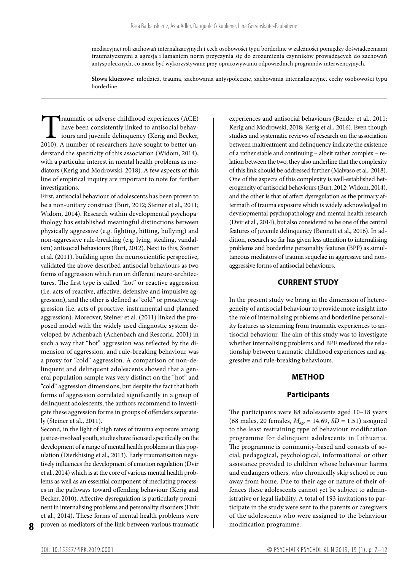mediacyjnej roli zachowań internalizacyjnych i cech osobowości typu borderline w zależności pomiędzy doświadczeniami traumatycznymi a agresją i łamaniem norm przyczynia się do zrozumienia czynników prowadzących do zachowań antyspołecznych, co może być wykorzystywane przy opracowywaniu odpowiednich programów interwencyjnych.

**Słowa kluczowe:** młodzież, trauma, zachowania antyspołeczne, zachowania internalizacyjne, cechy osobowości typu borderline

Traumatic or adverse childhood experiences (ACE)<br>have been consistently linked to antisocial behav-<br>iours and juvenile delinquency (Kerig and Becker,<br>2010). A number of researchers have sought to better unhave been consistently linked to antisocial behaviours and juvenile delinquency (Kerig and Becker, 2010). A number of researchers have sought to better understand the specificity of this association (Widom, 2014), with a particular interest in mental health problems as mediators (Kerig and Modrowski, 2018). A few aspects of this line of empirical inquiry are important to note for further investigations.

First, antisocial behaviour of adolescents has been proven to be a non-unitary construct (Burt, 2012; Steiner et al., 2011; Widom, 2014). Research within developmental psychopathology has established meaningful distinctions between physically aggressive (e.g. fighting, hitting, bullying) and non-aggressive rule-breaking (e.g. lying, stealing, vandalism) antisocial behaviours (Burt, 2012). Next to this, Steiner et al. (2011), building upon the neuroscientific perspective, validated the above described antisocial behaviours as two forms of aggression which run on different neuro-architectures. The first type is called "hot" or reactive aggression (i.e. acts of reactive, affective, defensive and impulsive aggression), and the other is defined as "cold" or proactive aggression (i.e. acts of proactive, instrumental and planned aggression). Moreover, Steiner et al. (2011) linked the proposed model with the widely used diagnostic system developed by Achenbach (Achenbach and Rescorla, 2001) in such a way that "hot" aggression was reflected by the dimension of aggression, and rule-breaking behaviour was a proxy for "cold" aggression. A comparison of non-delinquent and delinquent adolescents showed that a general population sample was very distinct on the "hot" and "cold" aggression dimensions, but despite the fact that both forms of aggression correlated significantly in a group of delinquent adolescents, the authors recommend to investigate these aggression forms in groups of offenders separately (Steiner et al., 2011).

Second, in the light of high rates of trauma exposure among justice-involved youth, studies have focused specifically on the development of a range of mental health problems in this population (Dierkhising et al., 2013). Early traumatisation negatively influences the development of emotion regulation (Dvir et al., 2014) which is at the core of various mental health problems as well as an essential component of mediating processes in the pathways toward offending behaviour (Kerig and Becker, 2010). Affective dysregulation is particularly prominent in internalising problems and personality disorders (Dvir et al., 2014). These forms of mental health problems were proven as mediators of the link between various traumatic

experiences and antisocial behaviours (Bender et al., 2011; Kerig and Modrowski, 2018; Kerig et al., 2016). Even though studies and systematic reviews of research on the association between maltreatment and delinquency indicate the existence of a rather stable and continuing – albeit rather complex – relation between the two, they also underline that the complexity of this link should be addressed further (Malvaso et al., 2018). One of the aspects of this complexity is well-established heterogeneity of antisocial behaviours (Burt, 2012; Widom, 2014), and the other is that of affect dysregulation as the primary aftermath of trauma exposure which is widely acknowledged in developmental psychopathology and mental health research (Dvir et al., 2014), but also considered to be one of the central features of juvenile delinquency (Bennett et al., 2016). In addition, research so far has given less attention to internalising problems and borderline personality features (BPF) as simultaneous mediators of trauma sequelae in aggressive and nonaggressive forms of antisocial behaviours.

## **CURRENT STUDY**

In the present study we bring in the dimension of heterogeneity of antisocial behaviour to provide more insight into the role of internalising problems and borderline personality features as stemming from traumatic experiences to antisocial behaviour. The aim of this study was to investigate whether internalising problems and BPF mediated the relationship between traumatic childhood experiences and aggressive and rule-breaking behaviours.

### **METHOD**

# **Participants**

The participants were 88 adolescents aged 10–18 years (68 males, 20 females, *Mage* = 14.69, *SD* = 1.51) assigned to the least restraining type of behaviour modification programme for delinquent adolescents in Lithuania. The programme is community-based and consists of social, pedagogical, psychological, informational or other assistance provided to children whose behaviour harms and endangers others, who chronically skip school or run away from home. Due to their age or nature of their offences these adolescents cannot yet be subject to administrative or legal liability. A total of 193 invitations to participate in the study were sent to the parents or caregivers of the adolescents who were assigned to the behaviour modification programme.

**8**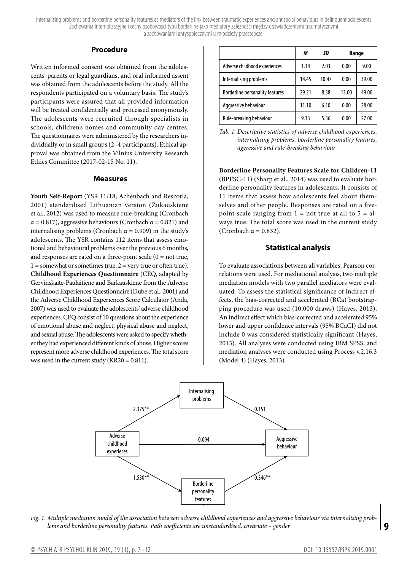Internalising problems and borderline personality features as mediators of the link between traumatic experiences and antisocial behaviours in delinquent adolescents Zachowania internalizacyjne i cechy osobowości typu borderline jako mediatory zależności między doświadczeniami traumatycznymi a zachowaniami antyspołecznymi u młodzieży przestępczej

### **Procedure**

Written informed consent was obtained from the adolescents' parents or legal guardians, and oral informed assent was obtained from the adolescents before the study. All the respondents participated on a voluntary basis. The study's participants were assured that all provided information will be treated confidentially and processed anonymously. The adolescents were recruited through specialists in schools, children's homes and community day centres. The questionnaires were administered by the researchers individually or in small groups (2–4 participants). Ethical approval was obtained from the Vilnius University Research Ethics Committee (2017-02-15 No. 11).

#### **Measures**

**Youth Self-Report** (YSR 11/18; Achenbach and Rescorla, 2001) standardised Lithuanian version (Žukauskienė et al., 2012) was used to measure rule-breaking (Cronbach  $\alpha$  = 0.817), aggressive behaviours (Cronbach  $\alpha$  = 0.821) and internalising problems (Cronbach  $\alpha$  = 0.909) in the study's adolescents. The YSR contains 112 items that assess emotional and behavioural problems over the previous 6 months, and responses are rated on a three-point scale  $(0 = not true,$  $1 =$ somewhat or sometimes true,  $2 =$  very true or often true). **Childhood Experiences Questionnaire** (CEQ, adapted by Gervinskaite-Paulaitiene and Barkauskiene from the Adverse Childhood Experiences Questionnaire (Dube et al., 2001) and the Adverse Childhood Experiences Score Calculator (Anda, 2007) was used to evaluate the adolescents' adverse childhood experiences. CEQ consist of 10 questions about the experience of emotional abuse and neglect, physical abuse and neglect, and sexual abuse. The adolescents were asked to specify whether they had experienced different kinds of abuse. Higher scores represent more adverse childhood experiences. The total score was used in the current study (KR20 = 0.811).

|                                        | М     | SD    | Range |       |
|----------------------------------------|-------|-------|-------|-------|
| Adverse childhood experiences          | 1.34  | 2.03  | 0.00  | 9.00  |
| Internalising problems                 | 14.45 | 10.47 | 0.00  | 39.00 |
| <b>Borderline personality features</b> | 29.21 | 8.38  | 13.00 | 49.00 |
| Aggressive behaviour                   | 11.10 | 6.10  | 0.00  | 28.00 |
| Rule-breaking behaviour                | 9.33  | 5.36  | 0.00  | 27.00 |

*Tab. 1. Descriptive statistics of adverse childhood experiences, internalising problems, borderline personality features, aggressive and rule-breaking behaviour*

**Borderline Personality Features Scale for Children-11** (BPFSC-11) (Sharp et al., 2014) was used to evaluate borderline personality features in adolescents. It consists of 11 items that assess how adolescents feel about themselves and other people. Responses are rated on a fivepoint scale ranging from  $1 = not true$  at all to  $5 = al$ ways true. The total score was used in the current study (Cronbach  $\alpha = 0.832$ ).

## **Statistical analysis**

To evaluate associations between all variables, Pearson correlations were used. For mediational analysis, two multiple mediation models with two parallel mediators were evaluated. To assess the statistical significance of indirect effects, the bias-corrected and accelerated (BCa) bootstrapping procedure was used (10,000 draws) (Hayes, 2013). An indirect effect which bias-corrected and accelerated 95% lower and upper confidence intervals (95% BCaCI) did not include 0 was considered statistically significant (Hayes, 2013). All analyses were conducted using IBM SPSS, and mediation analyses were conducted using Process v.2.16.3 (Model 4) (Hayes, 2013).



*Fig. 1. Multiple mediation model of the association between adverse childhood experiences and aggressive behaviour via internalising problems and borderline personality features. Path coefficients are unstandardised, covariate – gender*

**9**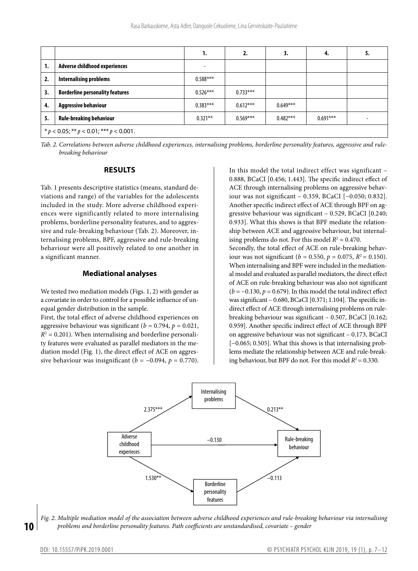|                                                  |                                        |            | 2.         | 3.         | 4.         |  |  |  |
|--------------------------------------------------|----------------------------------------|------------|------------|------------|------------|--|--|--|
| 1.                                               | Adverse childhood experiences          | ۰          |            |            |            |  |  |  |
| 2.                                               | <b>Internalising problems</b>          | $0.588***$ |            |            |            |  |  |  |
| 3.                                               | <b>Borderline personality features</b> | $0.526***$ | $0.733***$ |            |            |  |  |  |
| 4.                                               | <b>Aggressive behaviour</b>            | $0.383***$ | $0.612***$ | $0.649***$ |            |  |  |  |
| 5.                                               | <b>Rule-breaking behaviour</b>         | $0.321**$  | $0.569***$ | $0.482***$ | $0.691***$ |  |  |  |
| * $p < 0.05$ ; ** $p < 0.01$ ; *** $p < 0.001$ . |                                        |            |            |            |            |  |  |  |

*Tab. 2. Correlations between adverse childhood experiences, internalising problems, borderline personality features, aggressive and rulebreaking behaviour*

## **RESULTS**

Tab. 1 presents descriptive statistics (means, standard deviations and range) of the variables for the adolescents included in the study. More adverse childhood experiences were significantly related to more internalising problems, borderline personality features, and to aggressive and rule-breaking behaviour (Tab. 2). Moreover, internalising problems, BPF, aggressive and rule-breaking behaviour were all positively related to one another in a significant manner.

#### **Mediational analyses**

We tested two mediation models (Figs. 1, 2) with gender as a covariate in order to control for a possible influence of unequal gender distribution in the sample.

First, the total effect of adverse childhood experiences on aggressive behaviour was significant ( $b = 0.794$ ,  $p = 0.021$ ,  $R^2 = 0.201$ ). When internalising and borderline personality features were evaluated as parallel mediators in the mediation model (Fig. 1), the direct effect of ACE on aggressive behaviour was insignificant ( $b = -0.094$ ,  $p = 0.770$ ). In this model the total indirect effect was significant – 0.888, BCaCI [0.456; 1.443]. The specific indirect effect of ACE through internalising problems on aggressive behaviour was not significant – 0.359, BCaCI [−0.050; 0.832]. Another specific indirect effect of ACE through BPF on aggressive behaviour was significant – 0.529, BCaCI [0.240; 0.933]. What this shows is that BPF mediate the relationship between ACE and aggressive behaviour, but internalising problems do not. For this model  $R^2 = 0.470$ . Secondly, the total effect of ACE on rule-breaking behaviour was not significant ( $b = 0.550$ ,  $p = 0.075$ ,  $R^2 = 0.150$ ). When internalising and BPF were included in the mediational model and evaluated as parallel mediators, the direct effect of ACE on rule-breaking behaviour was also not significant (*b* = −0.130, *p* = 0.679). In this model the total indirect effect was significant – 0.680, BCaCI [0.371; 1.104]. The specific indirect effect of ACE through internalising problems on rulebreaking behaviour was significant – 0.507, BCaCI [0.162; 0.959]. Another specific indirect effect of ACE through BPF on aggressive behaviour was not significant – 0.173, BCaCI [-0.065; 0.505]. What this shows is that internalising problems mediate the relationship between ACE and rule-breaking behaviour, but BPF do not. For this model  $R^2 = 0.330$ .



*Fig. 2. Multiple mediation model of the association between adverse childhood experiences and rule-breaking behaviour via internalising problems and borderline personality features. Path coefficients are unstandardised, covariate – gender* 

**10**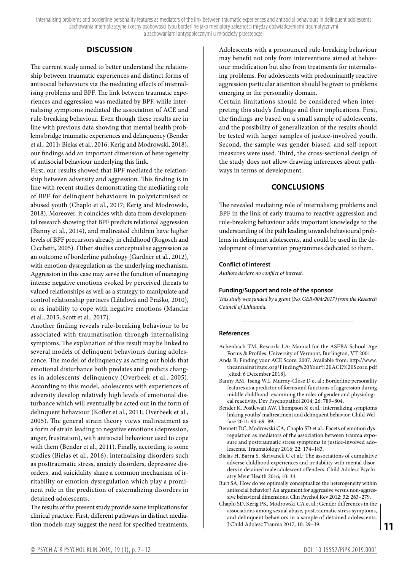Internalising problems and borderline personality features as mediators of the link between traumatic experiences and antisocial behaviours in delinquent adolescents Zachowania internalizacyjne i cechy osobowości typu borderline jako mediatory zależności między doświadczeniami traumatycznymi a zachowaniami antyspołecznymi u młodzieży przestępczej

# **DISCUSSION**

The current study aimed to better understand the relationship between traumatic experiences and distinct forms of antisocial behaviours via the mediating effects of internalising problems and BPF. The link between traumatic experiences and aggression was mediated by BPF, while internalising symptoms mediated the association of ACE and rule-breaking behaviour. Even though these results are in line with previous data showing that mental health problems bridge traumatic experiences and delinquency (Bender et al., 2011; Bielas et al., 2016; Kerig and Modrowski, 2018), our findings add an important dimension of heterogeneity of antisocial behaviour underlying this link.

First, our results showed that BPF mediated the relationship between adversity and aggression. This finding is in line with recent studies demonstrating the mediating role of BPF for delinquent behaviours in polyvictimised or abused youth (Chaplo et al., 2017; Kerig and Modrowski, 2018). Moreover, it coincides with data from developmental research showing that BPF predicts relational aggression (Banny et al., 2014), and maltreated children have higher levels of BPF precursors already in childhood (Rogosch and Cicchetti, 2005). Other studies conceptualise aggression as an outcome of borderline pathology (Gardner et al., 2012), with emotion dysregulation as the underlying mechanism. Aggression in this case may serve the function of managing intense negative emotions evoked by perceived threats to valued relationships as well as a strategy to manipulate and control relationship partners (Látalová and Praško, 2010), or as inability to cope with negative emotions (Mancke et al., 2015; Scott et al., 2017).

Another finding reveals rule-breaking behaviour to be associated with traumatisation through internalising symptoms. The explanation of this result may be linked to several models of delinquent behaviours during adolescence. The model of delinquency as acting out holds that emotional disturbance both predates and predicts changes in adolescents' delinquency (Overbeek et al., 2005). According to this model, adolescents with experiences of adversity develop relatively high levels of emotional disturbance which will eventually be acted out in the form of delinquent behaviour (Kofler et al., 2011; Overbeek et al., 2005). The general strain theory views maltreatment as a form of strain leading to negative emotions (depression, anger, frustration), with antisocial behaviour used to cope with them (Bender et al., 2011). Finally, according to some studies (Bielas et al., 2016), internalising disorders such as posttraumatic stress, anxiety disorders, depressive disorders, and suicidality share a common mechanism of irritability or emotion dysregulation which play a prominent role in the prediction of externalizing disorders in detained adolescents.

The results of the present study provide some implications for clinical practice. First, different pathways in distinct mediation models may suggest the need for specified treatments. Adolescents with a pronounced rule-breaking behaviour may benefit not only from interventions aimed at behaviour modification but also from treatments for internalising problems. For adolescents with predominantly reactive aggression particular attention should be given to problems emerging in the personality domain.

Certain limitations should be considered when interpreting this study's findings and their implications. First, the findings are based on a small sample of adolescents, and the possibility of generalization of the results should be tested with larger samples of justice-involved youth. Second, the sample was gender-biased, and self-report measures were used. Third, the cross-sectional design of the study does not allow drawing inferences about pathways in terms of development.

# **CONCLUSIONS**

The revealed mediating role of internalising problems and BPF in the link of early trauma to reactive aggression and rule-breaking behaviour adds important knowledge to the understanding of the path leading towards behavioural problems in delinquent adolescents, and could be used in the development of intervention programmes dedicated to them.

## **Conflict of interest**

*Authors declare no conflict of interest.*

#### **Funding/Support and role of the sponsor**

*This study was funded by a grant (No. GER-004/2017) from the Research Council of Lithuania.*

#### **References**

- Achenbach TM, Rescorla LA: Manual for the ASEBA School-Age Forms & Profiles. University of Vermont, Burlington, VT 2001.
- Anda R: Finding your ACE Score. 2007. Available from: [http://www.](http://www.theannainstitute.org/Finding Your ACE Score.pdf) [theannainstitute.org/Finding%20Your%20ACE%20Score.pdf](http://www.theannainstitute.org/Finding Your ACE Score.pdf) [cited: 6 December 2018].
- Banny AM, Tseng WL, Murray-Close D et al.: Borderline personality features as a predictor of forms and functions of aggression during middle childhood: examining the roles of gender and physiological reactivity. Dev Psychopathol 2014; 26: 789–804.
- Bender K, Postlewait AW, Thompson SJ et al.: Internalizing symptoms linking youths' maltreatment and delinquent behavior. Child Welfare 2011; 90: 69–89.
- Bennett DC, Modrowski CA, Chaplo SD et al.: Facets of emotion dysregulation as mediators of the association between trauma exposure and posttraumatic stress symptoms in justice-involved adolescents. Traumatology 2016; 22: 174–183.
- Bielas H, Barra S, Skrivanek C et al.: The associations of cumulative adverse childhood experiences and irritability with mental disorders in detained male adolescent offenders. Child Adolesc Psychiatry Ment Health 2016; 10: 34.
- Burt SA: How do we optimally conceptualize the heterogeneity within antisocial behavior? An argument for aggressive versus non-aggressive behavioral dimensions. Clin Psychol Rev 2012; 32: 263–279.
- Chaplo SD, Kerig PK, Modrowski CA et al.: Gender differences in the associations among sexual abuse, posttraumatic stress symptoms, and delinquent behaviors in a sample of detained adolescents. J Child Adolesc Trauma 2017; 10: 29–39.